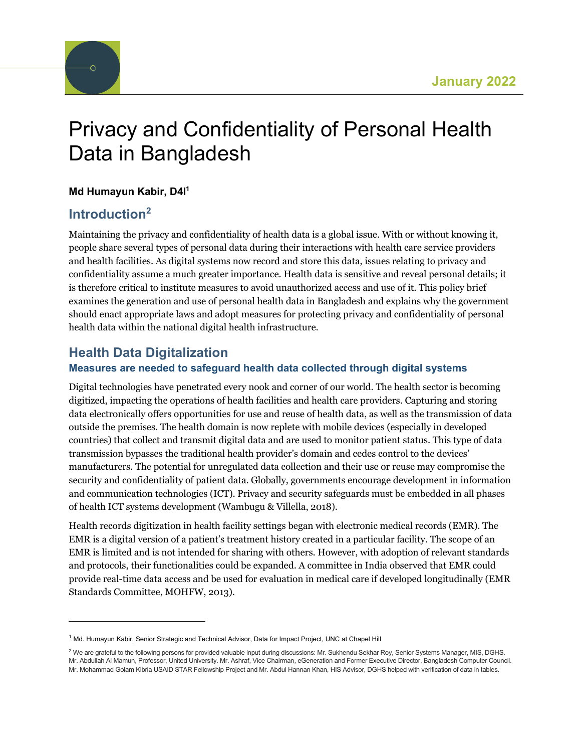

# Privacy and Confidentiality of Personal Health Data in Bangladesh

#### **Md Humayun Kabir, D4I1**

# **Introduction2**

Maintaining the privacy and confidentiality of health data is a global issue. With or without knowing it, people share several types of personal data during their interactions with health care service providers and health facilities. As digital systems now record and store this data, issues relating to privacy and confidentiality assume a much greater importance. Health data is sensitive and reveal personal details; it is therefore critical to institute measures to avoid unauthorized access and use of it. This policy brief examines the generation and use of personal health data in Bangladesh and explains why the government should enact appropriate laws and adopt measures for protecting privacy and confidentiality of personal health data within the national digital health infrastructure.

# **Health Data Digitalization**

#### **Measures are needed to safeguard health data collected through digital systems**

Digital technologies have penetrated every nook and corner of our world. The health sector is becoming digitized, impacting the operations of health facilities and health care providers. Capturing and storing data electronically offers opportunities for use and reuse of health data, as well as the transmission of data outside the premises. The health domain is now replete with mobile devices (especially in developed countries) that collect and transmit digital data and are used to monitor patient status. This type of data transmission bypasses the traditional health provider's domain and cedes control to the devices' manufacturers. The potential for unregulated data collection and their use or reuse may compromise the security and confidentiality of patient data. Globally, governments encourage development in information and communication technologies (ICT). Privacy and security safeguards must be embedded in all phases of health ICT systems development (Wambugu & Villella, 2018).

Health records digitization in health facility settings began with electronic medical records (EMR). The EMR is a digital version of a patient's treatment history created in a particular facility. The scope of an EMR is limited and is not intended for sharing with others. However, with adoption of relevant standards and protocols, their functionalities could be expanded. A committee in India observed that EMR could provide real-time data access and be used for evaluation in medical care if developed longitudinally (EMR Standards Committee, MOHFW, 2013).

<sup>&</sup>lt;sup>1</sup> Md. Humayun Kabir, Senior Strategic and Technical Advisor, Data for Impact Project, UNC at Chapel Hill

<sup>&</sup>lt;sup>2</sup> We are grateful to the following persons for provided valuable input during discussions: Mr. Sukhendu Sekhar Roy, Senior Systems Manager, MIS, DGHS. Mr. Abdullah Al Mamun, Professor, United University. Mr. Ashraf, Vice Chairman, eGeneration and Former Executive Director, Bangladesh Computer Council. Mr. Mohammad Golam Kibria USAID STAR Fellowship Project and Mr. Abdul Hannan Khan, HIS Advisor, DGHS helped with verification of data in tables.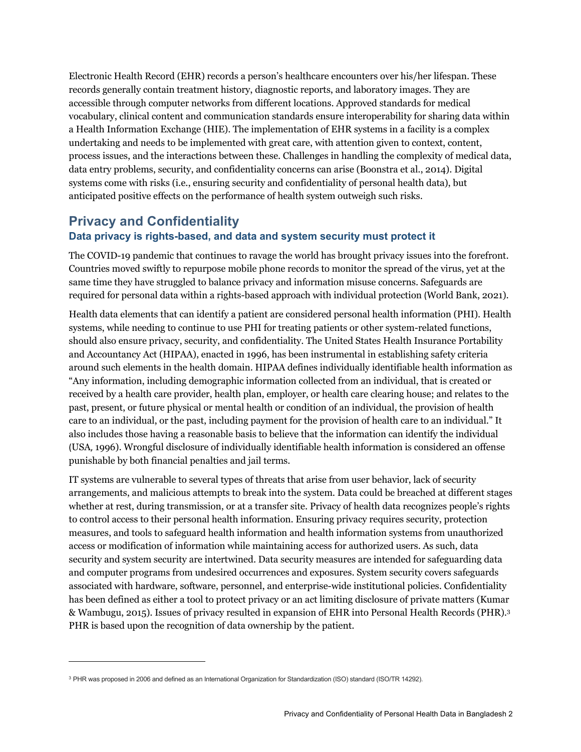Electronic Health Record (EHR) records a person's healthcare encounters over his/her lifespan. These records generally contain treatment history, diagnostic reports, and laboratory images. They are accessible through computer networks from different locations. Approved standards for medical vocabulary, clinical content and communication standards ensure interoperability for sharing data within a Health Information Exchange (HIE). The implementation of EHR systems in a facility is a complex undertaking and needs to be implemented with great care, with attention given to context, content, process issues, and the interactions between these. Challenges in handling the complexity of medical data, data entry problems, security, and confidentiality concerns can arise (Boonstra et al., 2014). Digital systems come with risks (i.e., ensuring security and confidentiality of personal health data), but anticipated positive effects on the performance of health system outweigh such risks.

#### **Privacy and Confidentiality**

#### **Data privacy is rights-based, and data and system security must protect it**

The COVID-19 pandemic that continues to ravage the world has brought privacy issues into the forefront. Countries moved swiftly to repurpose mobile phone records to monitor the spread of the virus, yet at the same time they have struggled to balance privacy and information misuse concerns. Safeguards are required for personal data within a rights-based approach with individual protection (World Bank, 2021).

Health data elements that can identify a patient are considered personal health information (PHI). Health systems, while needing to continue to use PHI for treating patients or other system-related functions, should also ensure privacy, security, and confidentiality. The United States Health Insurance Portability and Accountancy Act (HIPAA), enacted in 1996, has been instrumental in establishing safety criteria around such elements in the health domain. HIPAA defines individually identifiable health information as "Any information, including demographic information collected from an individual, that is created or received by a health care provider, health plan, employer, or health care clearing house; and relates to the past, present, or future physical or mental health or condition of an individual, the provision of health care to an individual, or the past, including payment for the provision of health care to an individual." It also includes those having a reasonable basis to believe that the information can identify the individual (USA, 1996). Wrongful disclosure of individually identifiable health information is considered an offense punishable by both financial penalties and jail terms.

IT systems are vulnerable to several types of threats that arise from user behavior, lack of security arrangements, and malicious attempts to break into the system. Data could be breached at different stages whether at rest, during transmission, or at a transfer site. Privacy of health data recognizes people's rights to control access to their personal health information. Ensuring privacy requires security, protection measures, and tools to safeguard health information and health information systems from unauthorized access or modification of information while maintaining access for authorized users. As such, data security and system security are intertwined. Data security measures are intended for safeguarding data and computer programs from undesired occurrences and exposures. System security covers safeguards associated with hardware, software, personnel, and enterprise-wide institutional policies. Confidentiality has been defined as either a tool to protect privacy or an act limiting disclosure of private matters (Kumar & Wambugu, 2015). Issues of privacy resulted in expansion of EHR into Personal Health Records (PHR).3 PHR is based upon the recognition of data ownership by the patient.

<sup>&</sup>lt;sup>3</sup> PHR was proposed in 2006 and defined as an International Organization for Standardization (ISO) standard (ISO/TR 14292).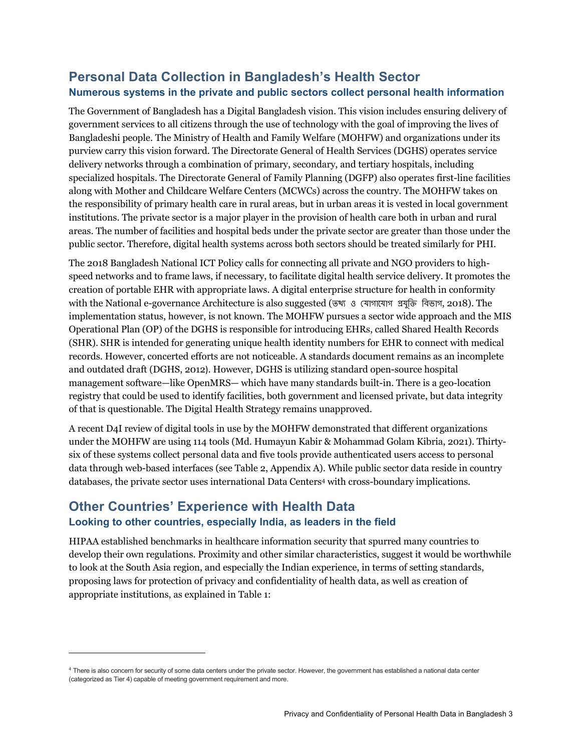# **Personal Data Collection in Bangladesh's Health Sector Numerous systems in the private and public sectors collect personal health information**

The Government of Bangladesh has a Digital Bangladesh vision. This vision includes ensuring delivery of government services to all citizens through the use of technology with the goal of improving the lives of Bangladeshi people. The Ministry of Health and Family Welfare (MOHFW) and organizations under its purview carry this vision forward. The Directorate General of Health Services (DGHS) operates service delivery networks through a combination of primary, secondary, and tertiary hospitals, including specialized hospitals. The Directorate General of Family Planning (DGFP) also operates first-line facilities along with Mother and Childcare Welfare Centers (MCWCs) across the country. The MOHFW takes on the responsibility of primary health care in rural areas, but in urban areas it is vested in local government institutions. The private sector is a major player in the provision of health care both in urban and rural areas. The number of facilities and hospital beds under the private sector are greater than those under the public sector. Therefore, digital health systems across both sectors should be treated similarly for PHI.

The 2018 Bangladesh National ICT Policy calls for connecting all private and NGO providers to highspeed networks and to frame laws, if necessary, to facilitate digital health service delivery. It promotes the creation of portable EHR with appropriate laws. A digital enterprise structure for health in conformity with the National e-governance Architecture is also suggested (তথ্য ও যোগাযোগ প্ৰযুক্তি বিভাগ, 2018). The implementation status, however, is not known. The MOHFW pursues a sector wide approach and the MIS Operational Plan (OP) of the DGHS is responsible for introducing EHRs, called Shared Health Records (SHR). SHR is intended for generating unique health identity numbers for EHR to connect with medical records. However, concerted efforts are not noticeable. A standards document remains as an incomplete and outdated draft (DGHS, 2012). However, DGHS is utilizing standard open-source hospital management software—like OpenMRS— which have many standards built-in. There is a geo-location registry that could be used to identify facilities, both government and licensed private, but data integrity of that is questionable. The Digital Health Strategy remains unapproved.

A recent D4I review of digital tools in use by the MOHFW demonstrated that different organizations under the MOHFW are using 114 tools (Md. Humayun Kabir & Mohammad Golam Kibria, 2021). Thirtysix of these systems collect personal data and five tools provide authenticated users access to personal data through web-based interfaces (see Table 2, Appendix A). While public sector data reside in country databases, the private sector uses international Data Centers4 with cross-boundary implications.

#### **Other Countries' Experience with Health Data Looking to other countries, especially India, as leaders in the field**

HIPAA established benchmarks in healthcare information security that spurred many countries to develop their own regulations. Proximity and other similar characteristics, suggest it would be worthwhile to look at the South Asia region, and especially the Indian experience, in terms of setting standards, proposing laws for protection of privacy and confidentiality of health data, as well as creation of appropriate institutions, as explained in Table 1:

<sup>&</sup>lt;sup>4</sup> There is also concern for security of some data centers under the private sector. However, the government has established a national data center (categorized as Tier 4) capable of meeting government requirement and more.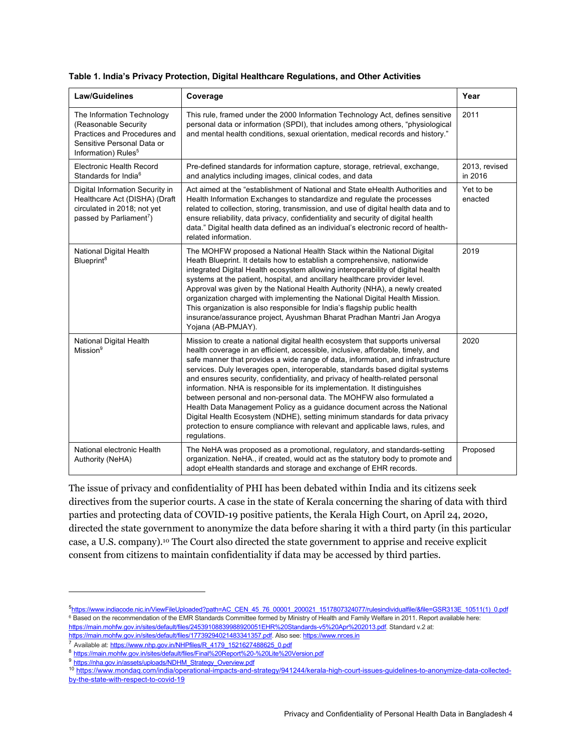| <b>Law/Guidelines</b>                                                                                                                               | Coverage                                                                                                                                                                                                                                                                                                                                                                                                                                                                                                                                                                                                                                                                                                                                                                                                                             | Year                     |
|-----------------------------------------------------------------------------------------------------------------------------------------------------|--------------------------------------------------------------------------------------------------------------------------------------------------------------------------------------------------------------------------------------------------------------------------------------------------------------------------------------------------------------------------------------------------------------------------------------------------------------------------------------------------------------------------------------------------------------------------------------------------------------------------------------------------------------------------------------------------------------------------------------------------------------------------------------------------------------------------------------|--------------------------|
| The Information Technology<br>(Reasonable Security<br>Practices and Procedures and<br>Sensitive Personal Data or<br>Information) Rules <sup>5</sup> | This rule, framed under the 2000 Information Technology Act, defines sensitive<br>personal data or information (SPDI), that includes among others, "physiological<br>and mental health conditions, sexual orientation, medical records and history."                                                                                                                                                                                                                                                                                                                                                                                                                                                                                                                                                                                 | 2011                     |
| <b>Electronic Health Record</b><br>Standards for India <sup>6</sup>                                                                                 | Pre-defined standards for information capture, storage, retrieval, exchange,<br>and analytics including images, clinical codes, and data                                                                                                                                                                                                                                                                                                                                                                                                                                                                                                                                                                                                                                                                                             | 2013, revised<br>in 2016 |
| Digital Information Security in<br>Healthcare Act (DISHA) (Draft<br>circulated in 2018; not yet<br>passed by Parliament <sup>7</sup> )              | Act aimed at the "establishment of National and State eHealth Authorities and<br>Health Information Exchanges to standardize and regulate the processes<br>related to collection, storing, transmission, and use of digital health data and to<br>ensure reliability, data privacy, confidentiality and security of digital health<br>data." Digital health data defined as an individual's electronic record of health-<br>related information.                                                                                                                                                                                                                                                                                                                                                                                     | Yet to be<br>enacted     |
| National Digital Health<br>Blueprint <sup>8</sup>                                                                                                   | The MOHFW proposed a National Health Stack within the National Digital<br>Heath Blueprint. It details how to establish a comprehensive, nationwide<br>integrated Digital Health ecosystem allowing interoperability of digital health<br>systems at the patient, hospital, and ancillary healthcare provider level.<br>Approval was given by the National Health Authority (NHA), a newly created<br>organization charged with implementing the National Digital Health Mission.<br>This organization is also responsible for India's flagship public health<br>insurance/assurance project, Ayushman Bharat Pradhan Mantri Jan Arogya<br>Yojana (AB-PMJAY).                                                                                                                                                                         | 2019                     |
| National Digital Health<br>Mission <sup>9</sup>                                                                                                     | Mission to create a national digital health ecosystem that supports universal<br>health coverage in an efficient, accessible, inclusive, affordable, timely, and<br>safe manner that provides a wide range of data, information, and infrastructure<br>services. Duly leverages open, interoperable, standards based digital systems<br>and ensures security, confidentiality, and privacy of health-related personal<br>information. NHA is responsible for its implementation. It distinguishes<br>between personal and non-personal data. The MOHFW also formulated a<br>Health Data Management Policy as a guidance document across the National<br>Digital Health Ecosystem (NDHE), setting minimum standards for data privacy<br>protection to ensure compliance with relevant and applicable laws, rules, and<br>regulations. | 2020                     |
| National electronic Health<br>Authority (NeHA)                                                                                                      | The NeHA was proposed as a promotional, regulatory, and standards-setting<br>organization. NeHA., if created, would act as the statutory body to promote and<br>adopt eHealth standards and storage and exchange of EHR records.                                                                                                                                                                                                                                                                                                                                                                                                                                                                                                                                                                                                     | Proposed                 |

**Table 1. India's Privacy Protection, Digital Healthcare Regulations, and Other Activities**

The issue of privacy and confidentiality of PHI has been debated within India and its citizens seek directives from the superior courts. A case in the state of Kerala concerning the sharing of data with third parties and protecting data of COVID-19 positive patients, the Kerala High Court, on April 24, 2020, directed the state government to anonymize the data before sharing it with a third party (in this particular case, a U.S. company).10 The Court also directed the state government to apprise and receive explicit consent from citizens to maintain confidentiality if data may be accessed by third parties.

<sup>5&</sup>lt;br>https://www.indiacode.nic.in/ViewFileUploaded?path=AC\_CEN\_45\_76\_00001\_200021\_1517807324077/rulesindividualfile/&file=GSR313E\_10511(1)\_0.pdf <sup>6</sup> Based on the recommendation of the EMR Standards Committee formed by Ministry of Health and Family Welfare in 2011. Report available here: https://main.mohfw.gov.in/sites/default/files/24539108839988920051EHR%20Standards-v5%20Apr%202013.pdf. Standard v.2 at: https://main.mohfw.gov.in/sites/default/files/17739294021483341357.pdf. Also see: https://www.nrces.in

<sup>&</sup>lt;sup>7</sup> Available at: https://www.nhp.gov.in/NHPfiles/R\_4179\_1521627488625\_0.pdf

<sup>8</sup> https://main.mohfw.gov.in/sites/default/files/Final%20Report%20-%20Lite%20Version.pdf

<sup>9</sup> https://nha.gov.in/assets/uploads/NDHM\_Strategy\_Overview.pdf

<sup>10</sup> https://www.mondaq.com/india/operational-impacts-and-strategy/941244/kerala-high-court-issues-guidelines-to-anonymize-data-collectedby-the-state-with-respect-to-covid-19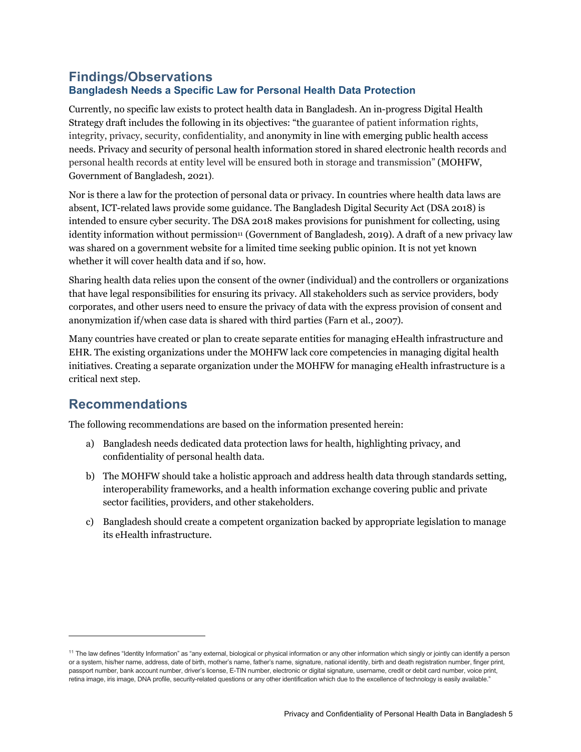#### **Findings/Observations Bangladesh Needs a Specific Law for Personal Health Data Protection**

Currently, no specific law exists to protect health data in Bangladesh. An in-progress Digital Health Strategy draft includes the following in its objectives: "the guarantee of patient information rights, integrity, privacy, security, confidentiality, and anonymity in line with emerging public health access needs. Privacy and security of personal health information stored in shared electronic health records and personal health records at entity level will be ensured both in storage and transmission" (MOHFW, Government of Bangladesh, 2021).

Nor is there a law for the protection of personal data or privacy. In countries where health data laws are absent, ICT-related laws provide some guidance. The Bangladesh Digital Security Act (DSA 2018) is intended to ensure cyber security. The DSA 2018 makes provisions for punishment for collecting, using identity information without permission<sup>11</sup> (Government of Bangladesh, 2019). A draft of a new privacy law was shared on a government website for a limited time seeking public opinion. It is not yet known whether it will cover health data and if so, how.

Sharing health data relies upon the consent of the owner (individual) and the controllers or organizations that have legal responsibilities for ensuring its privacy. All stakeholders such as service providers, body corporates, and other users need to ensure the privacy of data with the express provision of consent and anonymization if/when case data is shared with third parties (Farn et al., 2007).

Many countries have created or plan to create separate entities for managing eHealth infrastructure and EHR. The existing organizations under the MOHFW lack core competencies in managing digital health initiatives. Creating a separate organization under the MOHFW for managing eHealth infrastructure is a critical next step.

### **Recommendations**

The following recommendations are based on the information presented herein:

- a) Bangladesh needs dedicated data protection laws for health, highlighting privacy, and confidentiality of personal health data.
- b) The MOHFW should take a holistic approach and address health data through standards setting, interoperability frameworks, and a health information exchange covering public and private sector facilities, providers, and other stakeholders.
- c) Bangladesh should create a competent organization backed by appropriate legislation to manage its eHealth infrastructure.

<sup>&</sup>lt;sup>11</sup> The law defines "Identity Information" as "any external, biological or physical information or any other information which singly or jointly can identify a person or a system, his/her name, address, date of birth, mother's name, father's name, signature, national identity, birth and death registration number, finger print, passport number, bank account number, driver's license, E-TIN number, electronic or digital signature, username, credit or debit card number, voice print, retina image, iris image, DNA profile, security-related questions or any other identification which due to the excellence of technology is easily available."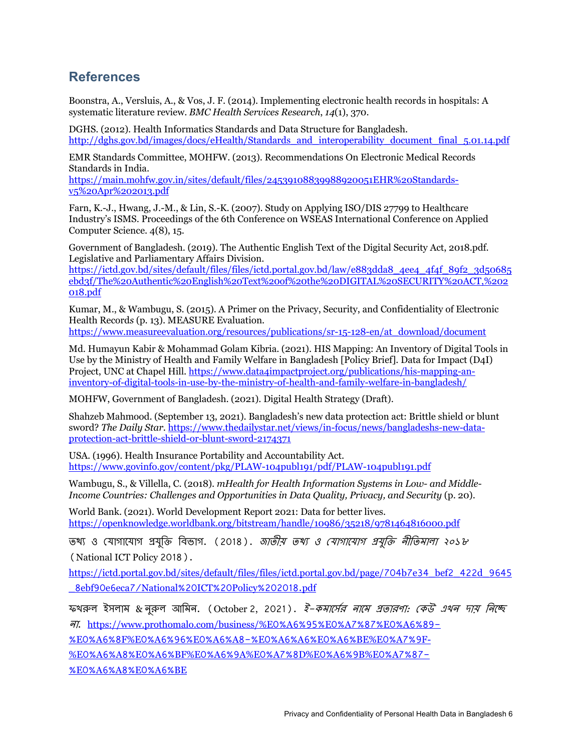# **References**

Boonstra, A., Versluis, A., & Vos, J. F. (2014). Implementing electronic health records in hospitals: A systematic literature review. *BMC Health Services Research*, *14*(1), 370.

DGHS. (2012). Health Informatics Standards and Data Structure for Bangladesh. http://dghs.gov.bd/images/docs/eHealth/Standards\_and\_interoperability\_document\_final\_5.01.14.pdf

EMR Standards Committee, MOHFW. (2013). Recommendations On Electronic Medical Records Standards in India.

https://main.mohfw.gov.in/sites/default/files/24539108839988920051EHR%20Standardsv5%20Apr%202013.pdf

Farn, K.-J., Hwang, J.-M., & Lin, S.-K. (2007). Study on Applying ISO/DIS 27799 to Healthcare Industry's ISMS. Proceedings of the 6th Conference on WSEAS International Conference on Applied Computer Science. 4(8), 15.

Government of Bangladesh. (2019). The Authentic English Text of the Digital Security Act, 2018.pdf. Legislative and Parliamentary Affairs Division.

https://ictd.gov.bd/sites/default/files/files/ictd.portal.gov.bd/law/e883dda8\_4ee4\_4f4f\_89f2\_3d50685 ebd3f/The%20Authentic%20English%20Text%20of%20the%20DIGITAL%20SECURITY%20ACT,%202 018.pdf

Kumar, M., & Wambugu, S. (2015). A Primer on the Privacy, Security, and Confidentiality of Electronic Health Record*s* (p. 13). MEASURE Evaluation.

https://www.measureevaluation.org/resources/publications/sr-15-128-en/at\_download/document

Md. Humayun Kabir & Mohammad Golam Kibria. (2021). HIS Mapping: An Inventory of Digital Tools in Use by the Ministry of Health and Family Welfare in Bangladesh [Policy Brief]. Data for Impact (D4I) Project, UNC at Chapel Hill. https://www.data4impactproject.org/publications/his-mapping-aninventory-of-digital-tools-in-use-by-the-ministry-of-health-and-family-welfare-in-bangladesh/

MOHFW, Government of Bangladesh. (2021). Digital Health Strategy (Draft).

Shahzeb Mahmood. (September 13, 2021). Bangladesh's new data protection act: Brittle shield or blunt sword? *The Daily Star*. https://www.thedailystar.net/views/in-focus/news/bangladeshs-new-dataprotection-act-brittle-shield-or-blunt-sword-2174371

USA. (1996). Health Insurance Portability and Accountability Act. https://www.govinfo.gov/content/pkg/PLAW-104publ191/pdf/PLAW-104publ191.pdf

Wambugu, S., & Villella, C. (2018). *mHealth for Health Information Systems in Low- and Middle-Income Countries: Challenges and Opportunities in Data Quality, Privacy, and Security* (p. 20).

World Bank. (2021). World Development Report 2021: Data for better lives. https://openknowledge.worldbank.org/bitstream/handle/10986/35218/9781464816000.pdf

তথ্য ও যোগাযোগ প্ৰযুক্তি বিভাগ. (2018). *জাতীয় তথ্য ও যোগাযোগ প্ৰযুক্তি নীতিমালা ২০১৮* (National ICT Policy 2018).

https://ictd.portal.gov.bd/sites/default/files/files/ictd.portal.gov.bd/page/704b7e34\_bef2\_422d\_9645 \_8ebf90e6eca7/National%20ICT%20Policy%202018.pdf

ফখরুল ইসলাম & নুরুল আমিন. (October 2, 2021). *ই-কমার্সের নামে প্রতারণা: কেউ এখন দায় নিচ্ছে* না. https://www.prothomalo.com/business/%E0%A6%95%E0%A7%87%E0%A6%89-

%E0%A6%8F%E0%A6%96%E0%A6%A8-%E0%A6%A6%E0%A6%BE%E0%A7%9F-

%E0%A6%A8%E0%A6%BF%E0%A6%9A%E0%A7%8D%E0%A6%9B%E0%A7%87-

%E0%A6%A8%E0%A6%BE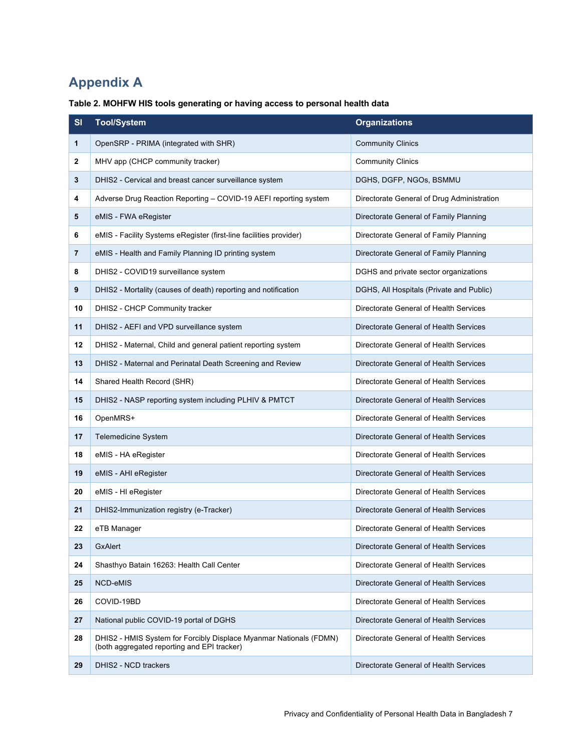# **Appendix A**

| Table 2. MOHFW HIS tools generating or having access to personal health data |  |  |  |
|------------------------------------------------------------------------------|--|--|--|
|                                                                              |  |  |  |

| SI             | <b>Tool/System</b>                                                                                                | <b>Organizations</b>                       |  |  |
|----------------|-------------------------------------------------------------------------------------------------------------------|--------------------------------------------|--|--|
| 1              | OpenSRP - PRIMA (integrated with SHR)                                                                             | <b>Community Clinics</b>                   |  |  |
| 2              | MHV app (CHCP community tracker)                                                                                  | <b>Community Clinics</b>                   |  |  |
| 3              | DHIS2 - Cervical and breast cancer surveillance system                                                            | DGHS, DGFP, NGOs, BSMMU                    |  |  |
| 4              | Adverse Drug Reaction Reporting - COVID-19 AEFI reporting system                                                  | Directorate General of Drug Administration |  |  |
| 5              | eMIS - FWA eRegister                                                                                              | Directorate General of Family Planning     |  |  |
| 6              | eMIS - Facility Systems eRegister (first-line facilities provider)                                                | Directorate General of Family Planning     |  |  |
| $\overline{7}$ | eMIS - Health and Family Planning ID printing system                                                              | Directorate General of Family Planning     |  |  |
| 8              | DHIS2 - COVID19 surveillance system                                                                               | DGHS and private sector organizations      |  |  |
| 9              | DHIS2 - Mortality (causes of death) reporting and notification                                                    | DGHS, All Hospitals (Private and Public)   |  |  |
| 10             | DHIS2 - CHCP Community tracker                                                                                    | Directorate General of Health Services     |  |  |
| 11             | DHIS2 - AEFI and VPD surveillance system                                                                          | Directorate General of Health Services     |  |  |
| 12             | DHIS2 - Maternal, Child and general patient reporting system                                                      | Directorate General of Health Services     |  |  |
| 13             | DHIS2 - Maternal and Perinatal Death Screening and Review                                                         | Directorate General of Health Services     |  |  |
| 14             | Shared Health Record (SHR)                                                                                        | Directorate General of Health Services     |  |  |
| 15             | DHIS2 - NASP reporting system including PLHIV & PMTCT                                                             | Directorate General of Health Services     |  |  |
| 16             | OpenMRS+                                                                                                          | Directorate General of Health Services     |  |  |
| 17             | Telemedicine System                                                                                               | Directorate General of Health Services     |  |  |
| 18             | eMIS - HA eRegister                                                                                               | Directorate General of Health Services     |  |  |
| 19             | eMIS - AHI eRegister                                                                                              | Directorate General of Health Services     |  |  |
| 20             | eMIS - HI eRegister                                                                                               | Directorate General of Health Services     |  |  |
| 21             | DHIS2-Immunization registry (e-Tracker)                                                                           | Directorate General of Health Services     |  |  |
| 22             | eTB Manager                                                                                                       | Directorate General of Health Services     |  |  |
| 23             | GxAlert                                                                                                           | Directorate General of Health Services     |  |  |
| 24             | Shasthyo Batain 16263: Health Call Center                                                                         | Directorate General of Health Services     |  |  |
| 25             | NCD-eMIS                                                                                                          | Directorate General of Health Services     |  |  |
| 26             | COVID-19BD                                                                                                        | Directorate General of Health Services     |  |  |
| 27             | National public COVID-19 portal of DGHS                                                                           | Directorate General of Health Services     |  |  |
| 28             | DHIS2 - HMIS System for Forcibly Displace Myanmar Nationals (FDMN)<br>(both aggregated reporting and EPI tracker) | Directorate General of Health Services     |  |  |
| 29             | DHIS2 - NCD trackers                                                                                              | Directorate General of Health Services     |  |  |